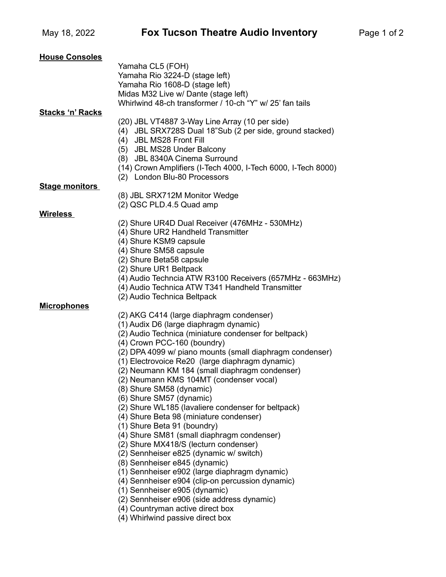| <b>House Consoles</b>   |                                                                                               |
|-------------------------|-----------------------------------------------------------------------------------------------|
|                         | Yamaha CL5 (FOH)                                                                              |
|                         | Yamaha Rio 3224-D (stage left)                                                                |
|                         | Yamaha Rio 1608-D (stage left)                                                                |
|                         | Midas M32 Live w/ Dante (stage left)                                                          |
|                         | Whirlwind 48-ch transformer / 10-ch "Y" w/ 25' fan tails                                      |
| <b>Stacks 'n' Racks</b> |                                                                                               |
|                         | (20) JBL VT4887 3-Way Line Array (10 per side)                                                |
|                         | (4) JBL SRX728S Dual 18"Sub (2 per side, ground stacked)                                      |
|                         | (4) JBL MS28 Front Fill                                                                       |
|                         | (5) JBL MS28 Under Balcony                                                                    |
|                         | (8) JBL 8340A Cinema Surround                                                                 |
|                         | (14) Crown Amplifiers (I-Tech 4000, I-Tech 6000, I-Tech 8000)<br>(2) London Blu-80 Processors |
| <b>Stage monitors</b>   |                                                                                               |
|                         | (8) JBL SRX712M Monitor Wedge                                                                 |
|                         | (2) QSC PLD.4.5 Quad amp                                                                      |
| Wireless                |                                                                                               |
|                         | (2) Shure UR4D Dual Receiver (476MHz - 530MHz)                                                |
|                         | (4) Shure UR2 Handheld Transmitter                                                            |
|                         | (4) Shure KSM9 capsule                                                                        |
|                         | (4) Shure SM58 capsule                                                                        |
|                         | (2) Shure Beta58 capsule                                                                      |
|                         | (2) Shure UR1 Beltpack                                                                        |
|                         | (4) Audio Techncia ATW R3100 Receivers (657MHz - 663MHz)                                      |
|                         | (4) Audio Technica ATW T341 Handheld Transmitter                                              |
|                         | (2) Audio Technica Beltpack                                                                   |
| <b>Microphones</b>      |                                                                                               |
|                         | (2) AKG C414 (large diaphragm condenser)                                                      |
|                         | (1) Audix D6 (large diaphragm dynamic)                                                        |
|                         | (2) Audio Technica (miniature condenser for beltpack)                                         |
|                         | (4) Crown PCC-160 (boundry)                                                                   |
|                         | (2) DPA 4099 w/ piano mounts (small diaphragm condenser)                                      |
|                         | (1) Electrovoice Re20 (large diaphragm dynamic)                                               |
|                         | (2) Neumann KM 184 (small diaphragm condenser)                                                |
|                         | (2) Neumann KMS 104MT (condenser vocal)                                                       |
|                         | (8) Shure SM58 (dynamic)                                                                      |
|                         | (6) Shure SM57 (dynamic)                                                                      |
|                         | (2) Shure WL185 (lavaliere condenser for beltpack)                                            |
|                         | (4) Shure Beta 98 (miniature condenser)                                                       |
|                         | (1) Shure Beta 91 (boundry)                                                                   |
|                         | (4) Shure SM81 (small diaphragm condenser)                                                    |
|                         | (2) Shure MX418/S (lecturn condenser)                                                         |
|                         | (2) Sennheiser e825 (dynamic w/ switch)                                                       |
|                         | (8) Sennheiser e845 (dynamic)<br>(1) Sennheiser e902 (large diaphragm dynamic)                |
|                         | (4) Sennheiser e904 (clip-on percussion dynamic)                                              |
|                         | (1) Sennheiser e905 (dynamic)                                                                 |
|                         | (2) Sennheiser e906 (side address dynamic)                                                    |
|                         | (4) Countryman active direct box                                                              |
|                         | (4) Whirlwind passive direct box                                                              |
|                         |                                                                                               |